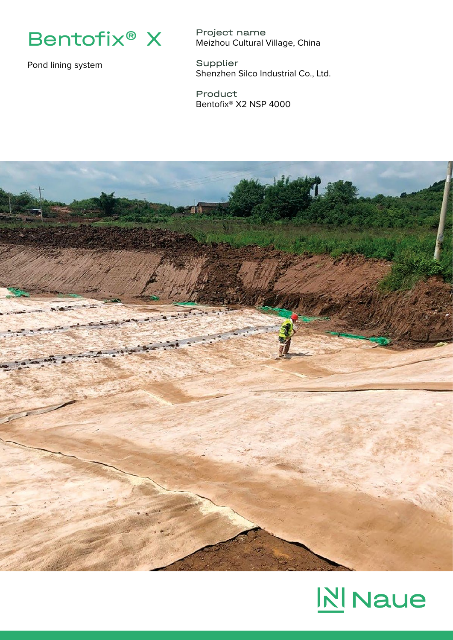

Pond lining system

Project name Meizhou Cultural Village, China

Supplier Shenzhen Silco Industrial Co., Ltd.

Product Bentofix® X2 NSP 4000